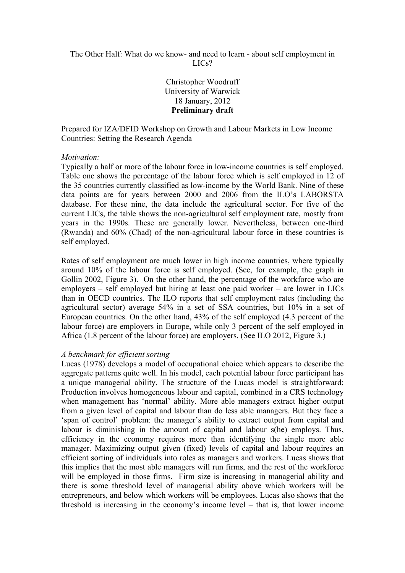# The Other Half: What do we know- and need to learn - about self employment in LICs?

Christopher Woodruff University of Warwick 18 January, 2012 **Preliminary draft**

Prepared for IZA/DFID Workshop on Growth and Labour Markets in Low Income Countries: Setting the Research Agenda

## *Motivation:*

Typically a half or more of the labour force in low-income countries is self employed. Table one shows the percentage of the labour force which is self employed in 12 of the 35 countries currently classified as low-income by the World Bank. Nine of these data points are for years between 2000 and 2006 from the ILO's LABORSTA database. For these nine, the data include the agricultural sector. For five of the current LICs, the table shows the non-agricultural self employment rate, mostly from years in the 1990s. These are generally lower. Nevertheless, between one-third (Rwanda) and 60% (Chad) of the non-agricultural labour force in these countries is self employed.

Rates of self employment are much lower in high income countries, where typically around 10% of the labour force is self employed. (See, for example, the graph in Gollin 2002, Figure 3). On the other hand, the percentage of the workforce who are employers – self employed but hiring at least one paid worker – are lower in LICs than in OECD countries. The ILO reports that self employment rates (including the agricultural sector) average 54% in a set of SSA countries, but 10% in a set of European countries. On the other hand, 43% of the self employed (4.3 percent of the labour force) are employers in Europe, while only 3 percent of the self employed in Africa (1.8 percent of the labour force) are employers. (See ILO 2012, Figure 3.)

## *A benchmark for efficient sorting*

Lucas (1978) develops a model of occupational choice which appears to describe the aggregate patterns quite well. In his model, each potential labour force participant has a unique managerial ability. The structure of the Lucas model is straightforward: Production involves homogeneous labour and capital, combined in a CRS technology when management has 'normal' ability. More able managers extract higher output from a given level of capital and labour than do less able managers. But they face a 'span of control' problem: the manager's ability to extract output from capital and labour is diminishing in the amount of capital and labour s(he) employs. Thus, efficiency in the economy requires more than identifying the single more able manager. Maximizing output given (fixed) levels of capital and labour requires an efficient sorting of individuals into roles as managers and workers. Lucas shows that this implies that the most able managers will run firms, and the rest of the workforce will be employed in those firms. Firm size is increasing in managerial ability and there is some threshold level of managerial ability above which workers will be entrepreneurs, and below which workers will be employees. Lucas also shows that the threshold is increasing in the economy's income level – that is, that lower income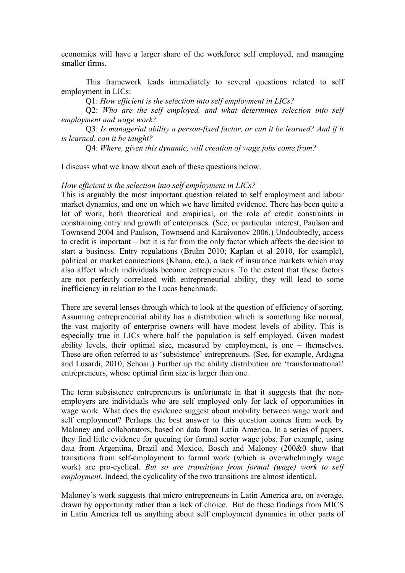economies will have a larger share of the workforce self employed, and managing smaller firms.

This framework leads immediately to several questions related to self employment in LICs:

Q1: *How efficient is the selection into self employment in LICs?* 

Q2: *Who are the self employed, and what determines selection into self employment and wage work?*

Q3: *Is managerial ability a person-fixed factor, or can it be learned? And if it is learned, can it be taught?*

Q4: *Where, given this dynamic, will creation of wage jobs come from?*

I discuss what we know about each of these questions below.

#### *How efficient is the selection into self employment in LICs?*

This is arguably the most important question related to self employment and labour market dynamics, and one on which we have limited evidence. There has been quite a lot of work, both theoretical and empirical, on the role of credit constraints in constraining entry and growth of enterprises. (See, or particular interest, Paulson and Townsend 2004 and Paulson, Townsend and Karaivonov 2006.) Undoubtedly, access to credit is important – but it is far from the only factor which affects the decision to start a business. Entry regulations (Bruhn 2010; Kaplan et al 2010, for example), political or market connections (Khana, etc.), a lack of insurance markets which may also affect which individuals become entrepreneurs. To the extent that these factors are not perfectly correlated with entrepreneurial ability, they will lead to some inefficiency in relation to the Lucas benchmark.

There are several lenses through which to look at the question of efficiency of sorting. Assuming entrepreneurial ability has a distribution which is something like normal, the vast majority of enterprise owners will have modest levels of ability. This is especially true in LICs where half the population is self employed. Given modest ability levels, their optimal size, measured by employment, is one – themselves. These are often referred to as 'subsistence' entrepreneurs. (See, for example, Ardagna and Lusardi, 2010; Schoar.) Further up the ability distribution are 'transformational' entrepreneurs, whose optimal firm size is larger than one.

The term subsistence entrepreneurs is unfortunate in that it suggests that the nonemployers are individuals who are self employed only for lack of opportunities in wage work. What does the evidence suggest about mobility between wage work and self employment? Perhaps the best answer to this question comes from work by Maloney and collaborators, based on data from Latin America. In a series of papers, they find little evidence for queuing for formal sector wage jobs. For example, using data from Argentina, Brazil and Mexico, Bosch and Maloney (200&0 show that transitions from self-employment to formal work (which is overwhelmingly wage work) are pro-cyclical. *But so are transitions from formal (wage) work to self employment*. Indeed, the cyclicality of the two transitions are almost identical.

Maloney's work suggests that micro entrepreneurs in Latin America are, on average, drawn by opportunity rather than a lack of choice. But do these findings from MICS in Latin America tell us anything about self employment dynamics in other parts of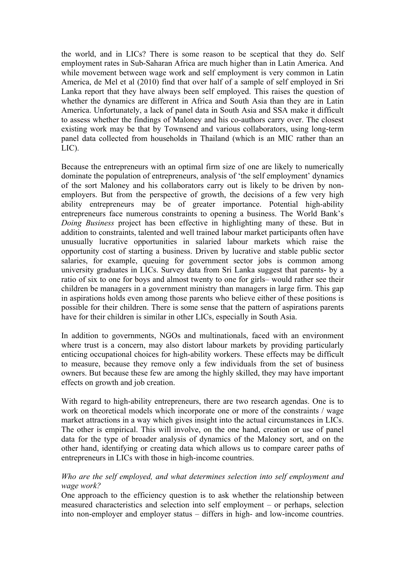the world, and in LICs? There is some reason to be sceptical that they do. Self employment rates in Sub-Saharan Africa are much higher than in Latin America. And while movement between wage work and self employment is very common in Latin America, de Mel et al (2010) find that over half of a sample of self employed in Sri Lanka report that they have always been self employed. This raises the question of whether the dynamics are different in Africa and South Asia than they are in Latin America. Unfortunately, a lack of panel data in South Asia and SSA make it difficult to assess whether the findings of Maloney and his co-authors carry over. The closest existing work may be that by Townsend and various collaborators, using long-term panel data collected from households in Thailand (which is an MIC rather than an LIC).

Because the entrepreneurs with an optimal firm size of one are likely to numerically dominate the population of entrepreneurs, analysis of 'the self employment' dynamics of the sort Maloney and his collaborators carry out is likely to be driven by nonemployers. But from the perspective of growth, the decisions of a few very high ability entrepreneurs may be of greater importance. Potential high-ability entrepreneurs face numerous constraints to opening a business. The World Bank's *Doing Business* project has been effective in highlighting many of these. But in addition to constraints, talented and well trained labour market participants often have unusually lucrative opportunities in salaried labour markets which raise the opportunity cost of starting a business. Driven by lucrative and stable public sector salaries, for example, queuing for government sector jobs is common among university graduates in LICs. Survey data from Sri Lanka suggest that parents- by a ratio of six to one for boys and almost twenty to one for girls– would rather see their children be managers in a government ministry than managers in large firm. This gap in aspirations holds even among those parents who believe either of these positions is possible for their children. There is some sense that the pattern of aspirations parents have for their children is similar in other LICs, especially in South Asia.

In addition to governments, NGOs and multinationals, faced with an environment where trust is a concern, may also distort labour markets by providing particularly enticing occupational choices for high-ability workers. These effects may be difficult to measure, because they remove only a few individuals from the set of business owners. But because these few are among the highly skilled, they may have important effects on growth and job creation.

With regard to high-ability entrepreneurs, there are two research agendas. One is to work on theoretical models which incorporate one or more of the constraints / wage market attractions in a way which gives insight into the actual circumstances in LICs. The other is empirical. This will involve, on the one hand, creation or use of panel data for the type of broader analysis of dynamics of the Maloney sort, and on the other hand, identifying or creating data which allows us to compare career paths of entrepreneurs in LICs with those in high-income countries.

# *Who are the self employed, and what determines selection into self employment and wage work?*

One approach to the efficiency question is to ask whether the relationship between measured characteristics and selection into self employment – or perhaps, selection into non-employer and employer status – differs in high- and low-income countries.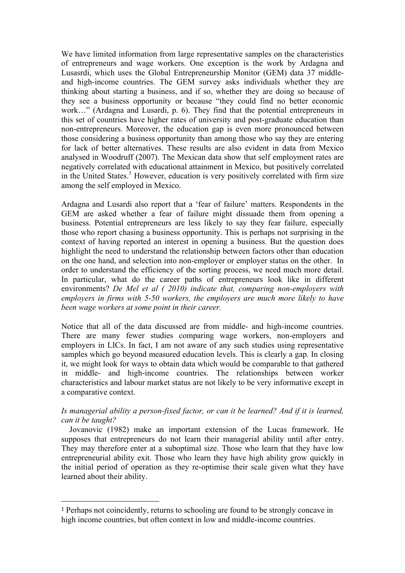We have limited information from large representative samples on the characteristics of entrepreneurs and wage workers. One exception is the work by Ardagna and Lusasrdi, which uses the Global Entrepreneurship Monitor (GEM) data 37 middleand high-income countries. The GEM survey asks individuals whether they are thinking about starting a business, and if so, whether they are doing so because of they see a business opportunity or because "they could find no better economic work…" (Ardagna and Lusardi, p. 6). They find that the potential entrepreneurs in this set of countries have higher rates of university and post-graduate education than non-entrepreneurs. Moreover, the education gap is even more pronounced between those considering a business opportunity than among those who say they are entering for lack of better alternatives. These results are also evident in data from Mexico analysed in Woodruff (2007). The Mexican data show that self employment rates are negatively correlated with educational attainment in Mexico, but positively correlated in the United States.<sup>1</sup> However, education is very positively correlated with firm size among the self employed in Mexico.

Ardagna and Lusardi also report that a 'fear of failure' matters. Respondents in the GEM are asked whether a fear of failure might dissuade them from opening a business. Potential entrepreneurs are less likely to say they fear failure, especially those who report chasing a business opportunity. This is perhaps not surprising in the context of having reported an interest in opening a business. But the question does highlight the need to understand the relationship between factors other than education on the one hand, and selection into non-employer or employer status on the other. In order to understand the efficiency of the sorting process, we need much more detail. In particular, what do the career paths of entrepreneurs look like in different environments? *De Mel et al ( 2010) indicate that, comparing non-employers with employers in firms with 5-50 workers, the employers are much more likely to have been wage workers at some point in their career.*

Notice that all of the data discussed are from middle- and high-income countries. There are many fewer studies comparing wage workers, non-employers and employers in LICs. In fact, I am not aware of any such studies using representative samples which go beyond measured education levels. This is clearly a gap. In closing it, we might look for ways to obtain data which would be comparable to that gathered in middle- and high-income countries. The relationships between worker characteristics and labour market status are not likely to be very informative except in a comparative context.

*Is managerial ability a person-fixed factor, or can it be learned? And if it is learned, can it be taught?*

 Jovanovic (1982) make an important extension of the Lucas framework. He supposes that entrepreneurs do not learn their managerial ability until after entry. They may therefore enter at a suboptimal size. Those who learn that they have low entrepreneurial ability exit. Those who learn they have high ability grow quickly in the initial period of operation as they re-optimise their scale given what they have learned about their ability.

!!!!!!!!!!!!!!!!!!!!!!!!!!!!!!!!!!!!!!!!!!!!!!!!!!!!!!!

<sup>1</sup> Perhaps not coincidently, returns to schooling are found to be strongly concave in high income countries, but often context in low and middle-income countries.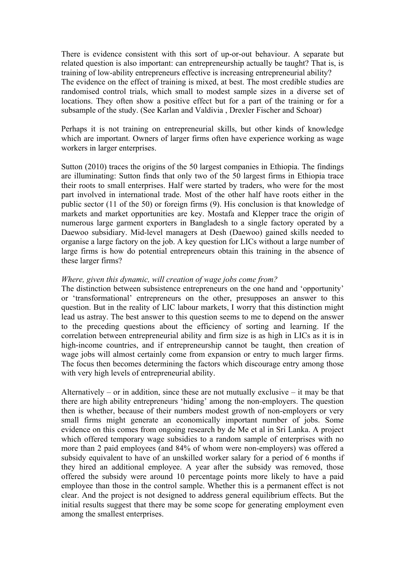There is evidence consistent with this sort of up-or-out behaviour. A separate but related question is also important: can entrepreneurship actually be taught? That is, is training of low-ability entrepreneurs effective is increasing entrepreneurial ability? The evidence on the effect of training is mixed, at best. The most credible studies are randomised control trials, which small to modest sample sizes in a diverse set of locations. They often show a positive effect but for a part of the training or for a subsample of the study. (See Karlan and Valdivia , Drexler Fischer and Schoar)

Perhaps it is not training on entrepreneurial skills, but other kinds of knowledge which are important. Owners of larger firms often have experience working as wage workers in larger enterprises.

Sutton (2010) traces the origins of the 50 largest companies in Ethiopia. The findings are illuminating: Sutton finds that only two of the 50 largest firms in Ethiopia trace their roots to small enterprises. Half were started by traders, who were for the most part involved in international trade. Most of the other half have roots either in the public sector (11 of the 50) or foreign firms (9). His conclusion is that knowledge of markets and market opportunities are key. Mostafa and Klepper trace the origin of numerous large garment exporters in Bangladesh to a single factory operated by a Daewoo subsidiary. Mid-level managers at Desh (Daewoo) gained skills needed to organise a large factory on the job. A key question for LICs without a large number of large firms is how do potential entrepreneurs obtain this training in the absence of these larger firms?

# *Where, given this dynamic, will creation of wage jobs come from?*

The distinction between subsistence entrepreneurs on the one hand and 'opportunity' or 'transformational' entrepreneurs on the other, presupposes an answer to this question. But in the reality of LIC labour markets, I worry that this distinction might lead us astray. The best answer to this question seems to me to depend on the answer to the preceding questions about the efficiency of sorting and learning. If the correlation between entrepreneurial ability and firm size is as high in LICs as it is in high-income countries, and if entrepreneurship cannot be taught, then creation of wage jobs will almost certainly come from expansion or entry to much larger firms. The focus then becomes determining the factors which discourage entry among those with very high levels of entrepreneurial ability.

Alternatively – or in addition, since these are not mutually exclusive – it may be that there are high ability entrepreneurs 'hiding' among the non-employers. The question then is whether, because of their numbers modest growth of non-employers or very small firms might generate an economically important number of jobs. Some evidence on this comes from ongoing research by de Me et al in Sri Lanka. A project which offered temporary wage subsidies to a random sample of enterprises with no more than 2 paid employees (and 84% of whom were non-employers) was offered a subsidy equivalent to have of an unskilled worker salary for a period of 6 months if they hired an additional employee. A year after the subsidy was removed, those offered the subsidy were around 10 percentage points more likely to have a paid employee than those in the control sample. Whether this is a permanent effect is not clear. And the project is not designed to address general equilibrium effects. But the initial results suggest that there may be some scope for generating employment even among the smallest enterprises.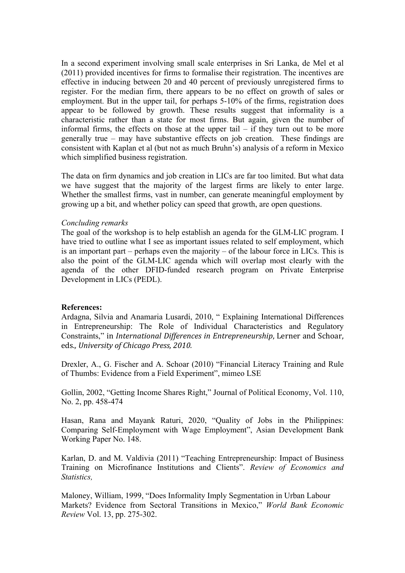In a second experiment involving small scale enterprises in Sri Lanka, de Mel et al (2011) provided incentives for firms to formalise their registration. The incentives are effective in inducing between 20 and 40 percent of previously unregistered firms to register. For the median firm, there appears to be no effect on growth of sales or employment. But in the upper tail, for perhaps 5-10% of the firms, registration does appear to be followed by growth. These results suggest that informality is a characteristic rather than a state for most firms. But again, given the number of informal firms, the effects on those at the upper tail  $-$  if they turn out to be more generally true – may have substantive effects on job creation. These findings are consistent with Kaplan et al (but not as much Bruhn's) analysis of a reform in Mexico which simplified business registration.

The data on firm dynamics and job creation in LICs are far too limited. But what data we have suggest that the majority of the largest firms are likely to enter large. Whether the smallest firms, vast in number, can generate meaningful employment by growing up a bit, and whether policy can speed that growth, are open questions.

### *Concluding remarks*

The goal of the workshop is to help establish an agenda for the GLM-LIC program. I have tried to outline what I see as important issues related to self employment, which is an important part – perhaps even the majority – of the labour force in LICs. This is also the point of the GLM-LIC agenda which will overlap most clearly with the agenda of the other DFID-funded research program on Private Enterprise Development in LICs (PEDL).

### **References:**

Ardagna, Silvia and Anamaria Lusardi, 2010, " Explaining International Differences in Entrepreneurship: The Role of Individual Characteristics and Regulatory Constraints," in *International Differences in Entrepreneurship*, Lerner and Schoar, eds., University of Chicago Press, 2010.

Drexler, A., G. Fischer and A. Schoar (2010) "Financial Literacy Training and Rule of Thumbs: Evidence from a Field Experiment", mimeo LSE

Gollin, 2002, "Getting Income Shares Right," Journal of Political Economy, Vol. 110, No. 2, pp. 458-474

Hasan, Rana and Mayank Raturi, 2020, "Quality of Jobs in the Philippines: Comparing Self-Employment with Wage Employment", Asian Development Bank Working Paper No. 148.

Karlan, D. and M. Valdivia (2011) "Teaching Entrepreneurship: Impact of Business Training on Microfinance Institutions and Clients". *Review of Economics and Statistics,* 

Maloney, William, 1999, "Does Informality Imply Segmentation in Urban Labour Markets? Evidence from Sectoral Transitions in Mexico," *World Bank Economic Review* Vol. 13, pp. 275-302.